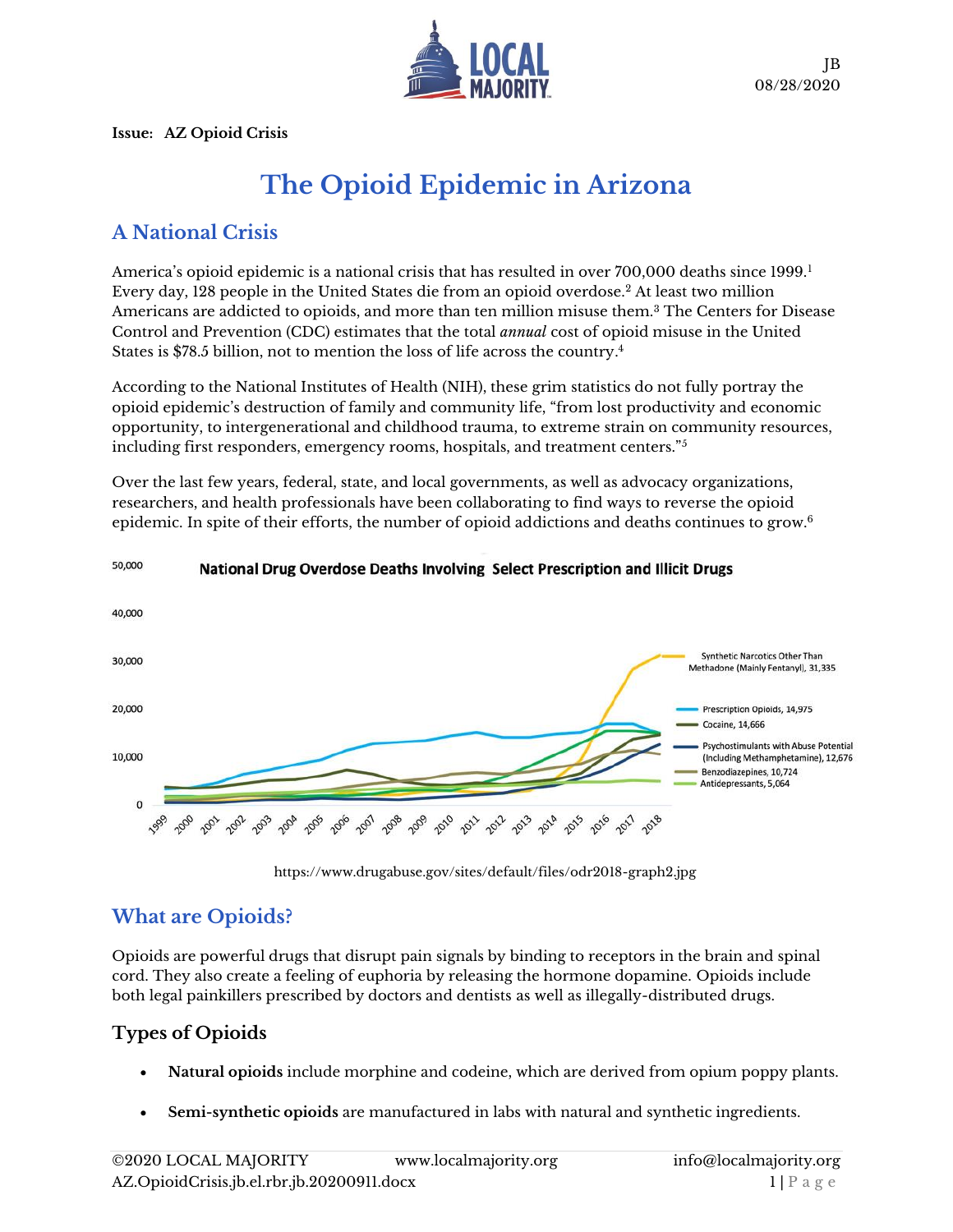

**Issue: AZ Opioid Crisis**

# **The Opioid Epidemic in Arizona**

## **A National Crisis**

America's opioid epidemic is a national crisis that has resulted in over 700,000 deaths since 1999.<sup>1</sup> Every day, 128 people in the United States die from an opioid overdose.<sup>2</sup> At least two million Americans are addicted to opioids, and more than ten million misuse them.<sup>3</sup> The Centers for Disease Control and Prevention (CDC) estimates that the total *annual* cost of opioid misuse in the United States is \$78.5 billion, not to mention the loss of life across the country. 4

According to the National Institutes of Health (NIH), these grim statistics do not fully portray the opioid epidemic's destruction of family and community life, "from lost productivity and economic opportunity, to intergenerational and childhood trauma, to extreme strain on community resources, including first responders, emergency rooms, hospitals, and treatment centers."<sup>5</sup>

Over the last few years, federal, state, and local governments, as well as advocacy organizations, researchers, and health professionals have been collaborating to find ways to reverse the opioid epidemic. In spite of their efforts, the number of opioid addictions and deaths continues to grow.<sup>6</sup>



#### 50,000 National Drug Overdose Deaths Involving Select Prescription and Illicit Drugs

<https://www.drugabuse.gov/sites/default/files/odr2018-graph2.jpg>

### **What are Opioids?**

Opioids are powerful drugs that disrupt pain signals by binding to receptors in the brain and spinal cord. They also create a feeling of euphoria by releasing the hormone dopamine. Opioids include both legal painkillers prescribed by doctors and dentists as well as illegally-distributed drugs.

### **Types of Opioids**

- **Natural opioids** include morphine and codeine, which are derived from opium poppy plants.
- **Semi-synthetic opioids** are manufactured in labs with natural and synthetic ingredients.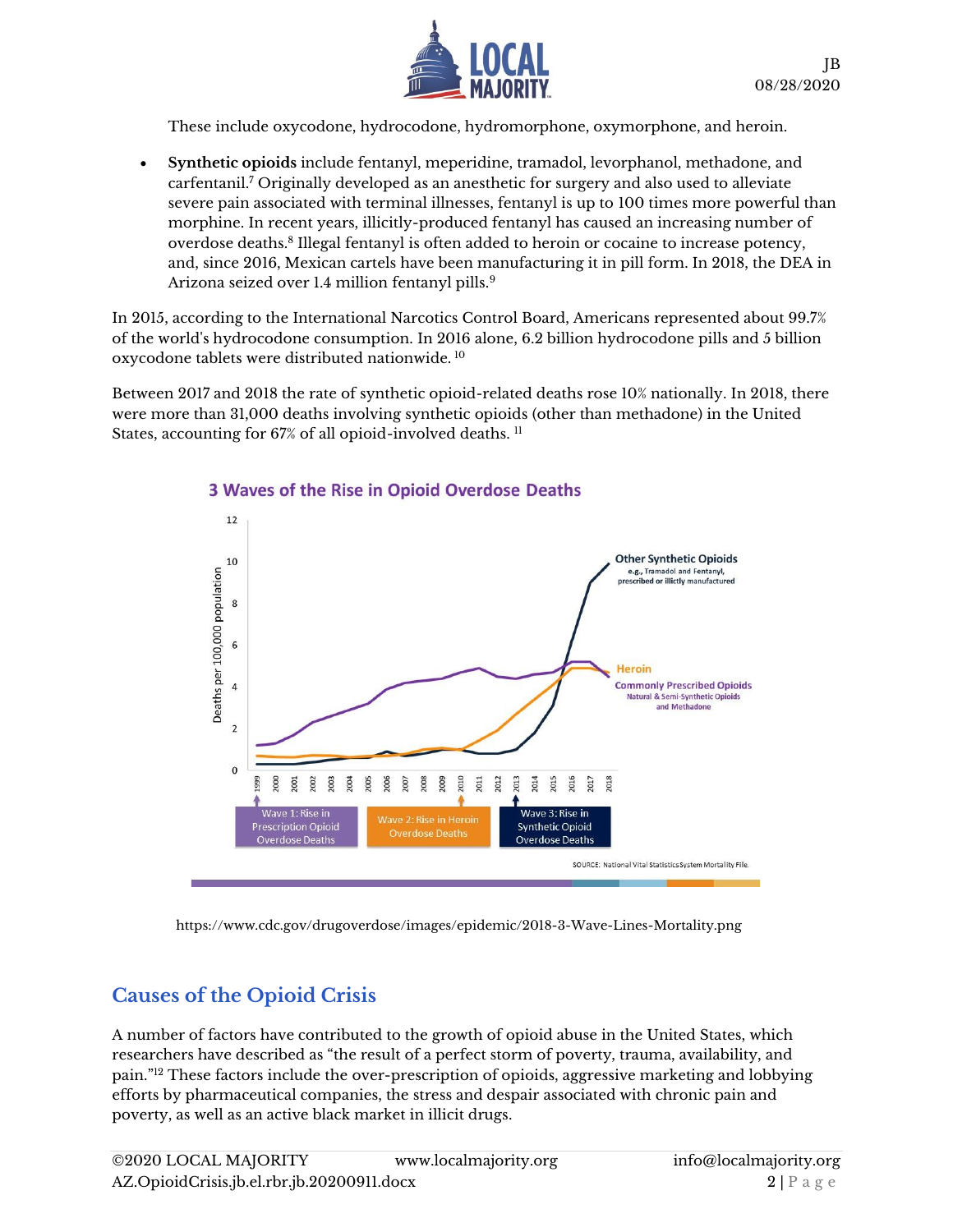

These include oxycodone, hydrocodone, hydromorphone, oxymorphone, and heroin.

• **Synthetic opioids** include fentanyl, meperidine, tramadol, levorphanol, methadone, and carfentanil.<sup>7</sup> Originally developed as an anesthetic for surgery and also used to alleviate severe pain associated with terminal illnesses, fentanyl is up to 100 times more powerful than morphine. In recent years, illicitly-produced fentanyl has caused an increasing number of overdose deaths.<sup>8</sup> Illegal fentanyl is often added to heroin or cocaine to increase potency, and, since 2016, Mexican cartels have been manufacturing it in pill form. In 2018, the DEA in Arizona seized over 1.4 million fentanyl pills.<sup>9</sup>

In 2015, according to the International Narcotics Control Board, Americans represented about 99.7% of the world's hydrocodone consumption. In 2016 alone, 6.2 billion hydrocodone pills and 5 billion oxycodone tablets were distributed nationwide. <sup>10</sup>

Between 2017 and 2018 the rate of synthetic opioid-related deaths rose 10% nationally. In 2018, there were more than 31,000 deaths involving synthetic opioids (other than methadone) in the United States, accounting for 67% of all opioid-involved deaths. 11



#### 3 Waves of the Rise in Opioid Overdose Deaths

<https://www.cdc.gov/drugoverdose/images/epidemic/2018-3-Wave-Lines-Mortality.png>

### **Causes of the Opioid Crisis**

A number of factors have contributed to the growth of opioid abuse in the United States, which researchers have described as "the result of a perfect storm of poverty, trauma, availability, and pain."<sup>12</sup> These factors include the over-prescription of opioids, aggressive marketing and lobbying efforts by pharmaceutical companies, the stress and despair associated with chronic pain and poverty, as well as an active black market in illicit drugs.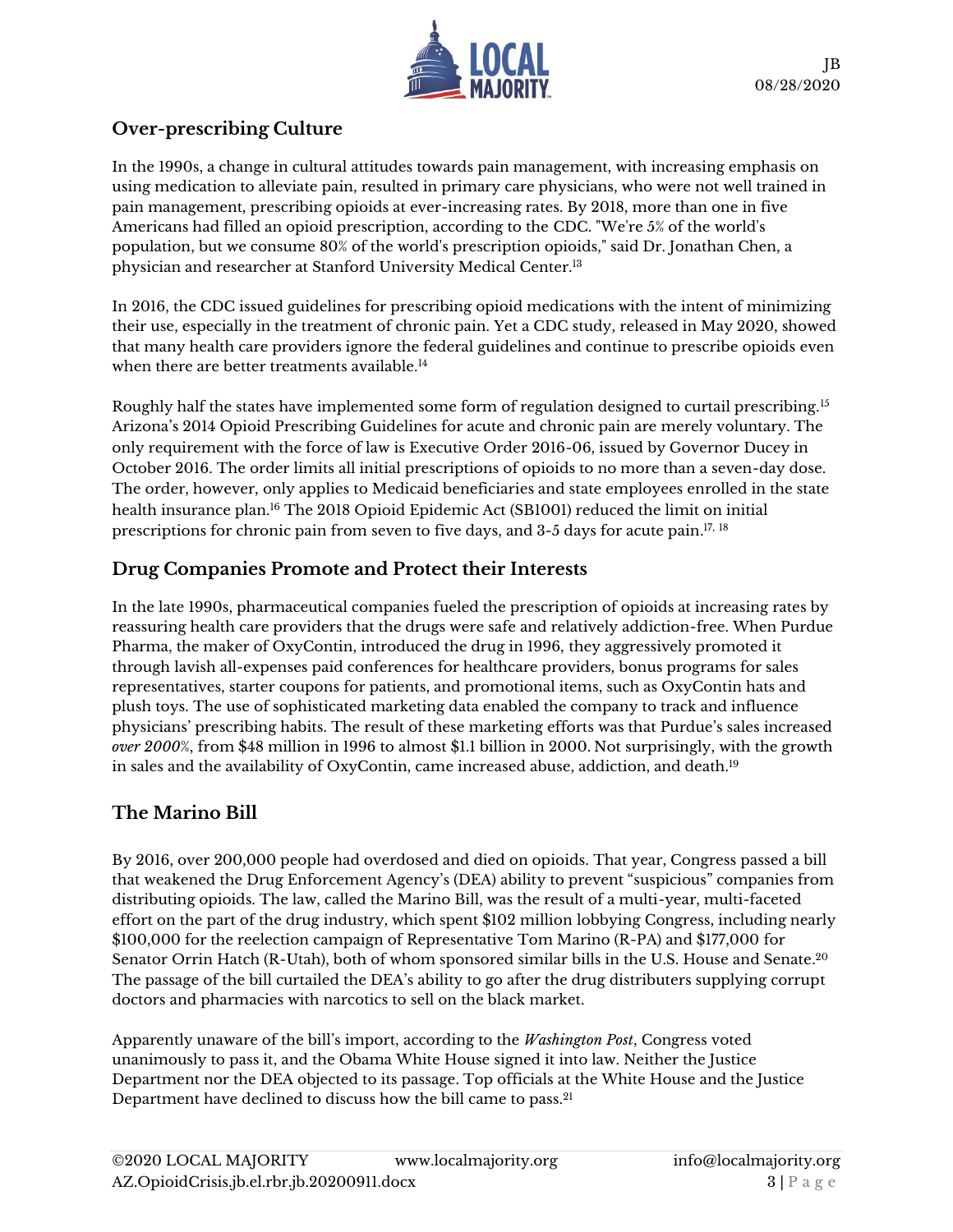

#### **Over-prescribing Culture**

In the 1990s, a change in cultural attitudes towards pain management, with increasing emphasis on using medication to alleviate pain, resulted in primary care physicians, who were not well trained in pain management, prescribing opioids at ever-increasing rates. By 2018, more than one in five Americans had filled an opioid prescription, according to the CDC. "We're 5% of the world's population, but we consume 80% of the world's prescription opioids," said Dr. Jonathan Chen, a physician and researcher at Stanford University Medical Center.<sup>13</sup>

In 2016, the CDC issued guidelines for prescribing opioid medications with the intent of minimizing their use, especially in the treatment of chronic pain. Yet a CDC study, released in May 2020, showed that many health care providers ignore the federal guidelines and continue to prescribe opioids even when there are better treatments available.<sup>14</sup>

Roughly half the states have implemented some form of regulation designed to curtail prescribing.<sup>15</sup> Arizona's 2014 Opioid Prescribing Guidelines for acute and chronic pain are merely voluntary. The only requirement with the force of law is Executive Order 2016-06, issued by Governor Ducey in October 2016. The order limits all initial prescriptions of opioids to no more than a seven-day dose. The order, however, only applies to Medicaid beneficiaries and state employees enrolled in the state health insurance plan.<sup>16</sup> The 2018 Opioid Epidemic Act (SB1001) reduced the limit on initial prescriptions for chronic pain from seven to five days, and 3-5 days for acute pain.<sup>17, 18</sup>

#### **Drug Companies Promote and Protect their Interests**

In the late 1990s, pharmaceutical companies fueled the prescription of opioids at increasing rates by reassuring health care providers that the drugs were safe and relatively addiction-free. When Purdue Pharma, the maker of OxyContin, introduced the drug in 1996, they aggressively promoted it through lavish all-expenses paid conferences for healthcare providers, bonus programs for sales representatives, starter coupons for patients, and promotional items, such as OxyContin hats and plush toys. The use of sophisticated marketing data enabled the company to track and influence physicians' prescribing habits. The result of these marketing efforts was that Purdue's sales increased *over 2000*%, from \$48 million in 1996 to almost \$1.1 billion in 2000. Not surprisingly, with the growth in sales and the availability of OxyContin, came increased abuse, addiction, and death.<sup>19</sup>

#### **The Marino Bill**

By 2016, over 200,000 people had overdosed and died on opioids. That year, Congress passed a bill that weakened the Drug Enforcement Agency's (DEA) ability to prevent "suspicious" companies from distributing opioids. The law, called the Marino Bill, was the result of a multi-year, multi-faceted effort on the part of the drug industry, which spent \$102 million lobbying Congress, including nearly \$100,000 for the reelection campaign of Representative Tom Marino (R-PA) and \$177,000 for Senator Orrin Hatch (R-Utah), both of whom sponsored similar bills in the U.S. House and Senate. 20 The passage of the bill curtailed the DEA's ability to go after the drug distributers supplying corrupt doctors and pharmacies with narcotics to sell on the black market.

Apparently unaware of the bill's import, according to the *Washington Post*, Congress voted unanimously to pass it, and the Obama White House signed it into law. Neither the Justice Department nor the DEA objected to its passage. Top officials at the White House and the Justice Department have declined to discuss how the bill came to pass.21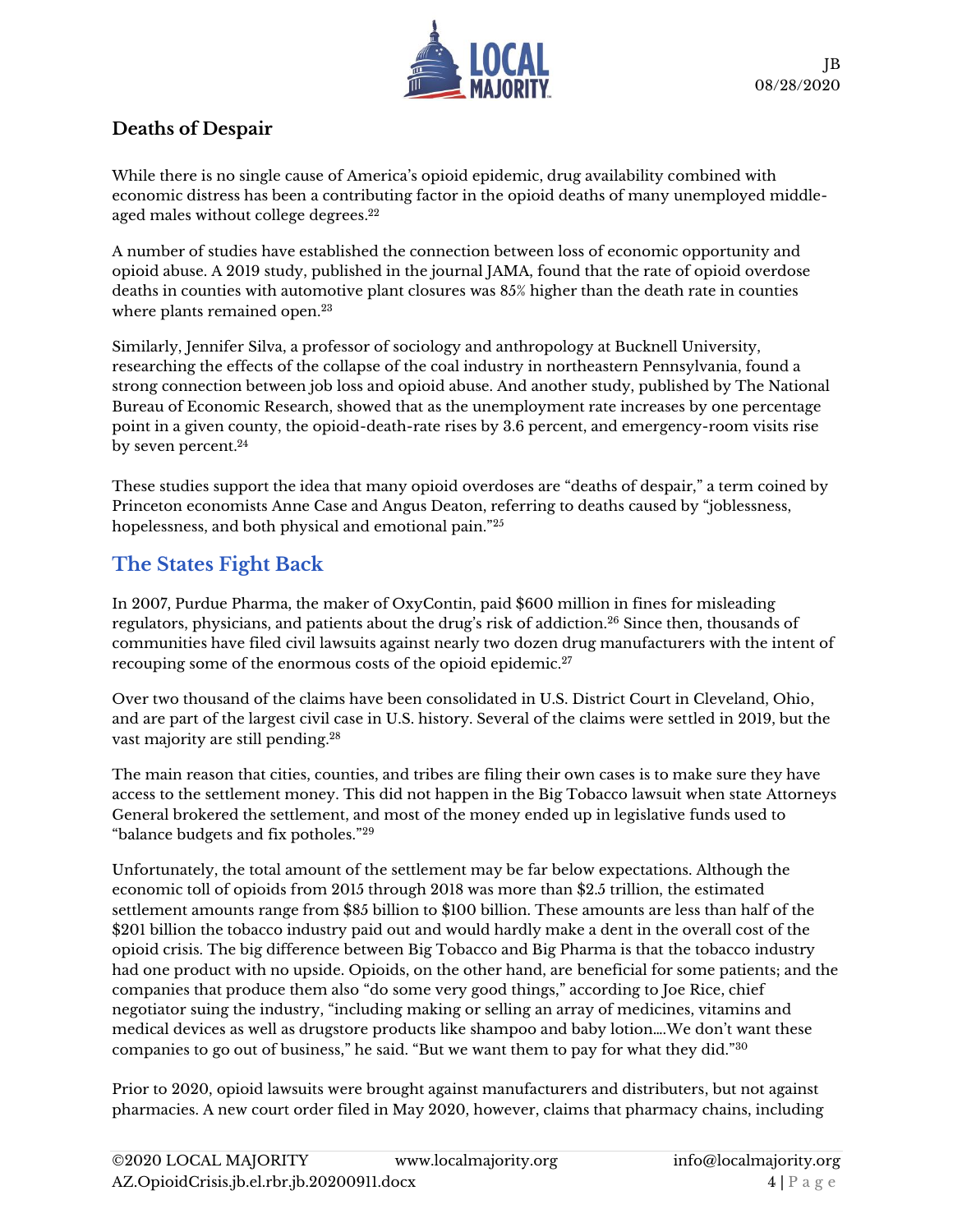

#### **Deaths of Despair**

While there is no single cause of America's opioid epidemic, drug availability combined with economic distress has been a contributing factor in the opioid deaths of many unemployed middleaged males without college degrees. 22

A number of studies have established the connection between loss of economic opportunity and opioid abuse. A 2019 study, published in the journal JAMA, found that the rate of opioid overdose deaths in counties with automotive plant closures was 85% higher than the death rate in counties where plants remained open.<sup>23</sup>

Similarly, Jennifer Silva, a professor of sociology and anthropology at Bucknell University, researching the effects of the collapse of the coal industry in northeastern Pennsylvania, found a strong connection between job loss and opioid abuse. And another study, published by The National Bureau of Economic Research, showed that as the unemployment rate increases by one percentage point in a given county, the opioid-death-rate rises by 3.6 percent, and emergency-room visits rise by seven percent.<sup>24</sup>

These studies support the idea that many opioid overdoses are "deaths of despair," a term coined by Princeton economists Anne Case and Angus Deaton, referring to deaths caused by "joblessness, hopelessness, and both physical and emotional pain."<sup>25</sup>

## **The States Fight Back**

In 2007, Purdue Pharma, the maker of OxyContin, paid \$600 million in fines for misleading regulators, physicians, and patients about the drug's risk of addiction.<sup>26</sup> Since then, thousands of communities have filed civil lawsuits against nearly two dozen drug manufacturers with the intent of recouping some of the enormous costs of the opioid epidemic.<sup>27</sup>

Over two thousand of the claims have been consolidated in U.S. District Court in Cleveland, Ohio, and are part of the largest civil case in U.S. history. Several of the claims were settled in 2019, but the vast majority are still pending.<sup>28</sup>

The main reason that cities, counties, and tribes are filing their own cases is to make sure they have access to the settlement money. This did not happen in the Big Tobacco lawsuit when state Attorneys General brokered the settlement, and most of the money ended up in legislative funds used to "balance budgets and fix potholes."<sup>29</sup>

Unfortunately, the total amount of the settlement may be far below expectations. Although the economic toll of opioids from 2015 through 2018 was more than \$2.5 trillion, the estimated settlement amounts range from \$85 billion to \$100 billion. These amounts are less than half of the \$201 billion the tobacco industry paid out and would hardly make a dent in the overall cost of the opioid crisis. The big difference between Big Tobacco and Big Pharma is that the tobacco industry had one product with no upside. Opioids, on the other hand, are beneficial for some patients; and the companies that produce them also "do some very good things," according to Joe Rice, chief negotiator suing the industry, "including making or selling an array of medicines, vitamins and medical devices as well as drugstore products like shampoo and baby lotion….We don't want these companies to go out of business," he said. "But we want them to pay for what they did."<sup>30</sup>

Prior to 2020, opioid lawsuits were brought against manufacturers and distributers, but not against pharmacies. A new court order filed in May 2020, however, claims that pharmacy chains, including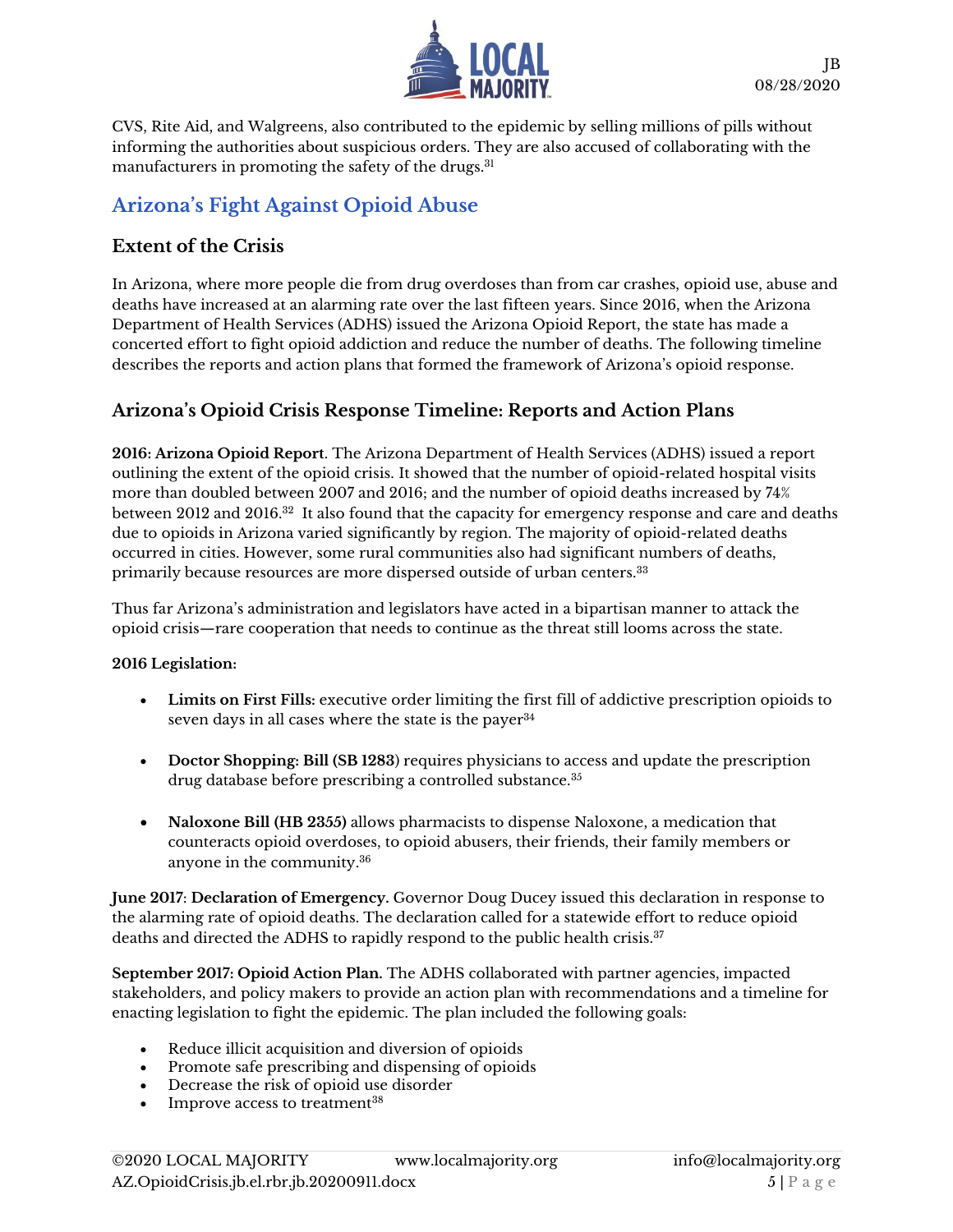

CVS, Rite Aid, and Walgreens, also contributed to the epidemic by selling millions of pills without informing the authorities about suspicious orders. They are also accused of collaborating with the manufacturers in promoting the safety of the drugs.<sup>31</sup>

### **Arizona's Fight Against Opioid Abuse**

#### **Extent of the Crisis**

In Arizona, where more people die from drug overdoses than from car crashes, opioid use, abuse and deaths have increased at an alarming rate over the last fifteen years. Since 2016, when the Arizona Department of Health Services (ADHS) issued the Arizona Opioid Report, the state has made a concerted effort to fight opioid addiction and reduce the number of deaths. The following timeline describes the reports and action plans that formed the framework of Arizona's opioid response.

#### **Arizona's Opioid Crisis Response Timeline: Reports and Action Plans**

**2016: Arizona Opioid Report**. The Arizona Department of Health Services (ADHS) issued a report outlining the extent of the opioid crisis. It showed that the number of opioid-related hospital visits more than doubled between 2007 and 2016; and the number of opioid deaths increased by 74% between 2012 and 2016. $^{32}$  It also found that the capacity for emergency response and care and deaths due to opioids in Arizona varied significantly by region. The majority of opioid-related deaths occurred in cities. However, some rural communities also had significant numbers of deaths, primarily because resources are more dispersed outside of urban centers.<sup>33</sup>

Thus far Arizona's administration and legislators have acted in a bipartisan manner to attack the opioid crisis—rare cooperation that needs to continue as the threat still looms across the state.

#### **2016 Legislation:**

- **Limits on First Fills:** executive order limiting the first fill of addictive prescription opioids to seven days in all cases where the state is the payer  $34$
- **Doctor Shopping: Bill (SB 1283**) requires physicians to access and update the prescription drug database before prescribing a controlled substance.<sup>35</sup>
- **Naloxone Bill (HB 2355)** allows pharmacists to dispense Naloxone, a medication that counteracts opioid overdoses, to opioid abusers, their friends, their family members or anyone in the community. 36

**June 2017**: **Declaration of Emergency.** Governor Doug Ducey issued this declaration in response to the alarming rate of opioid deaths. The declaration called for a statewide effort to reduce opioid deaths and directed the ADHS to rapidly respond to the public health crisis.<sup>37</sup>

**September 2017: Opioid Action Plan.** The ADHS collaborated with partner agencies, impacted stakeholders, and policy makers to provide an action plan with recommendations and a timeline for enacting legislation to fight the epidemic. The plan included the following goals:

- Reduce illicit acquisition and diversion of opioids
- Promote safe prescribing and dispensing of opioids
- Decrease the risk of opioid use disorder
- Improve access to treatment<sup>38</sup>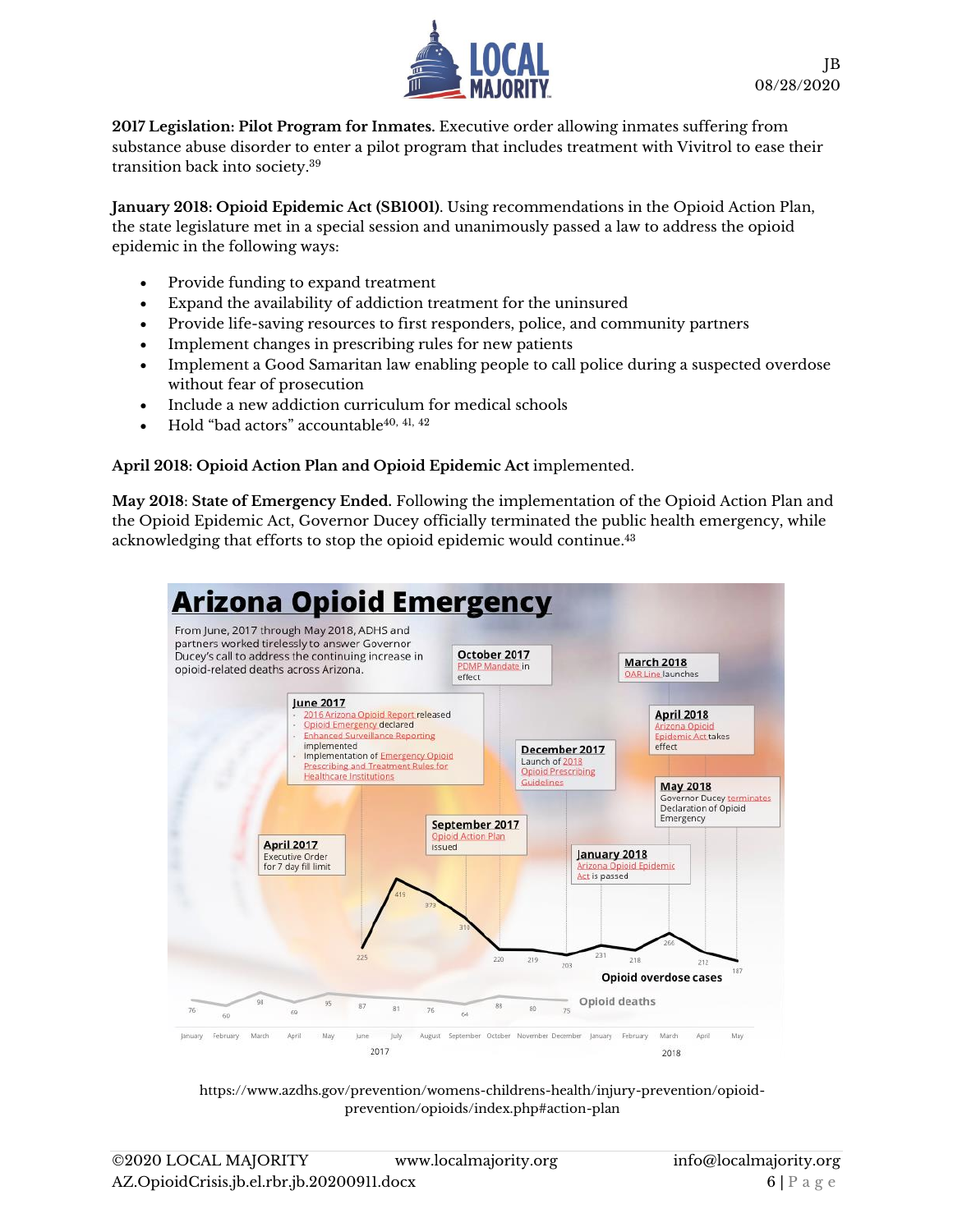

**2017 Legislation: Pilot Program for Inmates.** Executive order allowing inmates suffering from substance abuse disorder to enter a pilot program that includes treatment with Vivitrol to ease their transition back into society. 39

**January 2018: Opioid Epidemic Act (SB1001)**. Using recommendations in the Opioid Action Plan, the state legislature met in a special session and unanimously passed a law to address the opioid epidemic in the following ways:

- Provide funding to expand treatment
- Expand the availability of addiction treatment for the uninsured
- Provide life-saving resources to first responders, police, and community partners
- Implement changes in prescribing rules for new patients
- Implement a Good Samaritan law enabling people to call police during a suspected overdose without fear of prosecution
- Include a new addiction curriculum for medical schools
- Hold "bad actors" accountable40, 41, <sup>42</sup>

#### **April 2018: Opioid Action Plan and Opioid Epidemic Act** implemented.

**May 2018**: **State of Emergency Ended.** Following the implementation of the Opioid Action Plan and the Opioid Epidemic Act, Governor Ducey officially terminated the public health emergency, while acknowledging that efforts to stop the opioid epidemic would continue.<sup>43</sup>



[https://www.azdhs.gov/prevention/womens-childrens-health/injury-prevention/opioid](https://www.azdhs.gov/prevention/womens-childrens-health/injury-prevention/opioid-prevention/opioids/index.php#action-plan)[prevention/opioids/index.php#action-plan](https://www.azdhs.gov/prevention/womens-childrens-health/injury-prevention/opioid-prevention/opioids/index.php#action-plan)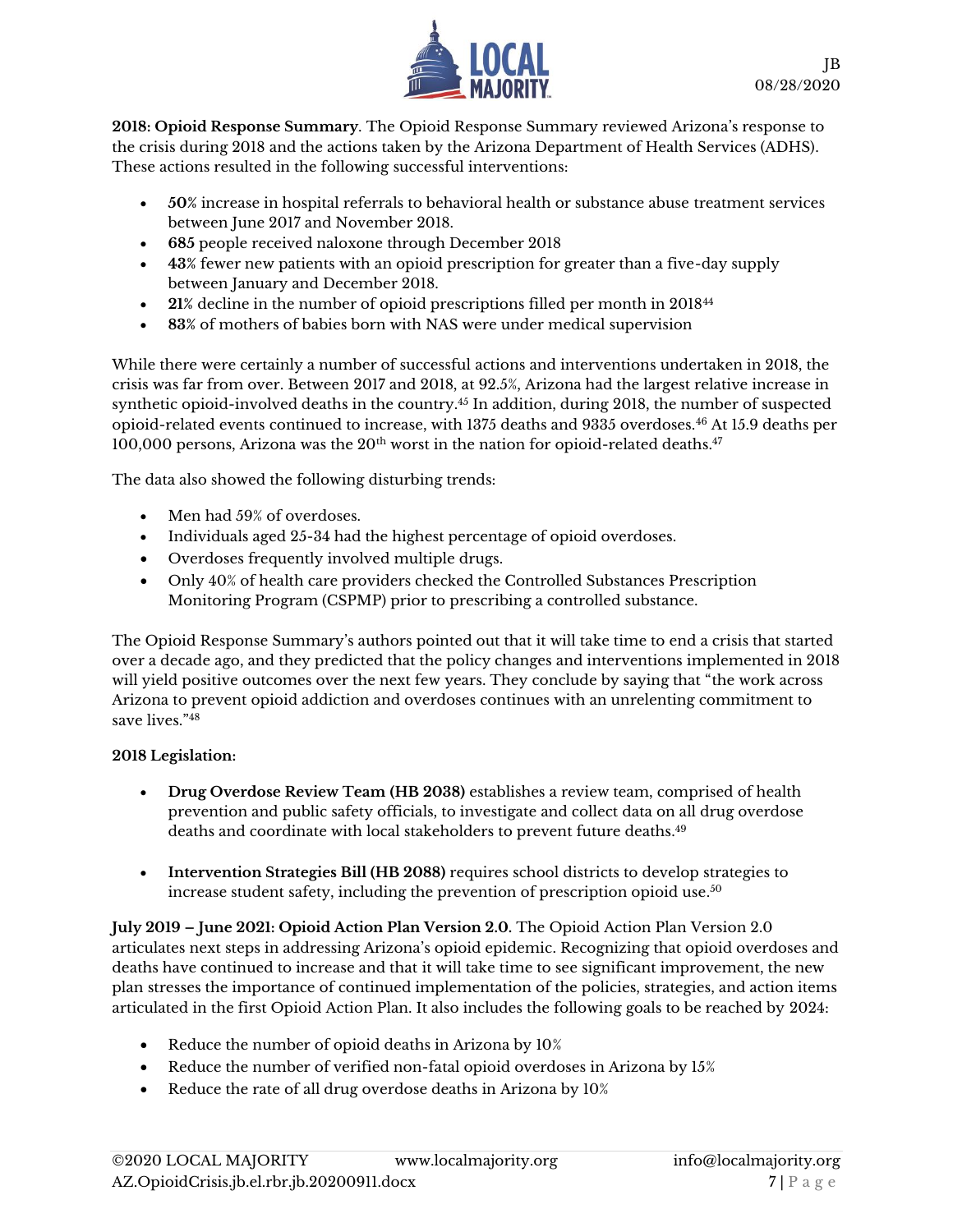

**2018: Opioid Response Summary**. The Opioid Response Summary reviewed Arizona's response to the crisis during 2018 and the actions taken by the Arizona Department of Health Services (ADHS). These actions resulted in the following successful interventions:

- **50%** increase in hospital referrals to behavioral health or substance abuse treatment services between June 2017 and November 2018.
- **685** people received naloxone through December 2018
- **43%** fewer new patients with an opioid prescription for greater than a five-day supply between January and December 2018.
- **21%** decline in the number of opioid prescriptions filled per month in 2018<sup>44</sup>
- **83%** of mothers of babies born with NAS were under medical supervision

While there were certainly a number of successful actions and interventions undertaken in 2018, the crisis was far from over. Between 2017 and 2018, at 92.5%, Arizona had the largest relative increase in synthetic opioid-involved deaths in the country.<sup>45</sup> In addition, during 2018, the number of suspected opioid-related events continued to increase, with 1375 deaths and 9335 overdoses.<sup>46</sup> At 15.9 deaths per 100,000 persons, Arizona was the  $20<sup>th</sup>$  worst in the nation for opioid-related deaths.<sup>47</sup>

The data also showed the following disturbing trends:

- Men had 59% of overdoses.
- Individuals aged 25-34 had the highest percentage of opioid overdoses.
- Overdoses frequently involved multiple drugs.
- Only 40% of health care providers checked the Controlled Substances Prescription Monitoring Program (CSPMP) prior to prescribing a controlled substance.

The Opioid Response Summary's authors pointed out that it will take time to end a crisis that started over a decade ago, and they predicted that the policy changes and interventions implemented in 2018 will yield positive outcomes over the next few years. They conclude by saying that "the work across Arizona to prevent opioid addiction and overdoses continues with an unrelenting commitment to save lives."<sup>48</sup>

#### **2018 Legislation:**

- **Drug Overdose Review Team (HB 2038)** establishes a review team, comprised of health prevention and public safety officials, to investigate and collect data on all drug overdose deaths and coordinate with local stakeholders to prevent future deaths. 49
- **Intervention Strategies Bill (HB 2088)** requires school districts to develop strategies to increase student safety, including the prevention of prescription opioid use. $^{50}$

**July 2019 – June 2021: Opioid Action Plan Version 2.0.** The Opioid Action Plan Version 2.0 articulates next steps in addressing Arizona's opioid epidemic. Recognizing that opioid overdoses and deaths have continued to increase and that it will take time to see significant improvement, the new plan stresses the importance of continued implementation of the policies, strategies, and action items articulated in the first Opioid Action Plan. It also includes the following goals to be reached by 2024:

- Reduce the number of opioid deaths in Arizona by 10%
- Reduce the number of verified non-fatal opioid overdoses in Arizona by 15%
- Reduce the rate of all drug overdose deaths in Arizona by 10%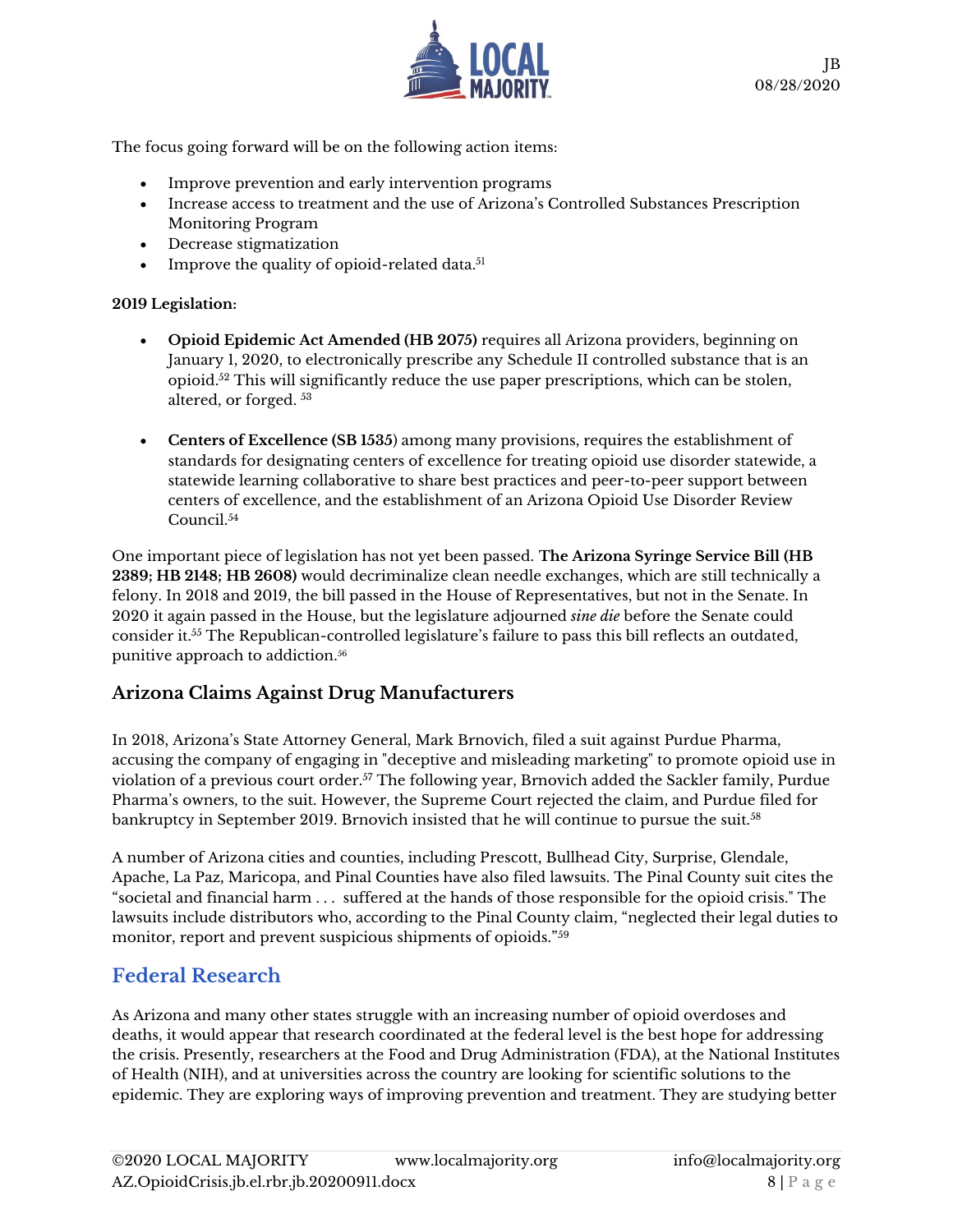

The focus going forward will be on the following action items:

- Improve prevention and early intervention programs
- Increase access to treatment and the use of Arizona's Controlled Substances Prescription Monitoring Program
- Decrease stigmatization
- Improve the quality of opioid-related data.<sup>51</sup>

#### **2019 Legislation:**

- **Opioid Epidemic Act Amended (HB 2075)** requires all Arizona providers, beginning on January 1, 2020, to electronically prescribe any Schedule II controlled substance that is an opioid.<sup>52</sup> This will significantly reduce the use paper prescriptions, which can be stolen, altered, or forged.  $^{53}$
- **Centers of Excellence (SB 1535**) among many provisions, requires the establishment of standards for designating centers of excellence for treating opioid use disorder statewide, a statewide learning collaborative to share best practices and peer-to-peer support between centers of excellence, and the establishment of an Arizona Opioid Use Disorder Review Council. 54

One important piece of legislation has not yet been passed. **The Arizona Syringe Service Bill (HB 2389; HB 2148; HB 2608)** would decriminalize clean needle exchanges, which are still technically a felony. In 2018 and 2019, the bill passed in the House of Representatives, but not in the Senate. In 2020 it again passed in the House, but the legislature adjourned *sine die* before the Senate could consider it.<sup>55</sup> The Republican-controlled legislature's failure to pass this bill reflects an outdated, punitive approach to addiction. 56

#### **Arizona Claims Against Drug Manufacturers**

In 2018, Arizona's State Attorney General, Mark Brnovich, filed a suit against Purdue Pharma, accusing the company of engaging in "deceptive and misleading marketing" to promote opioid use in violation of a previous court order.<sup>57</sup> The following year, Brnovich added the Sackler family, Purdue Pharma's owners, to the suit. However, the Supreme Court rejected the claim, and Purdue filed for bankruptcy in September 2019. Brnovich insisted that he will continue to pursue the suit.<sup>58</sup>

A number of Arizona cities and counties, including Prescott, Bullhead City, Surprise, Glendale, Apache, La Paz, Maricopa, and Pinal Counties have also filed lawsuits. The Pinal County suit cites the "societal and financial harm . . . suffered at the hands of those responsible for the opioid crisis." The lawsuits include distributors who, according to the Pinal County claim, "neglected their legal duties to monitor, report and prevent suspicious shipments of opioids."<sup>59</sup>

#### **Federal Research**

As Arizona and many other states struggle with an increasing number of opioid overdoses and deaths, it would appear that research coordinated at the federal level is the best hope for addressing the crisis. Presently, researchers at the Food and Drug Administration (FDA), at the National Institutes of Health (NIH), and at universities across the country are looking for scientific solutions to the epidemic. They are exploring ways of improving prevention and treatment. They are studying better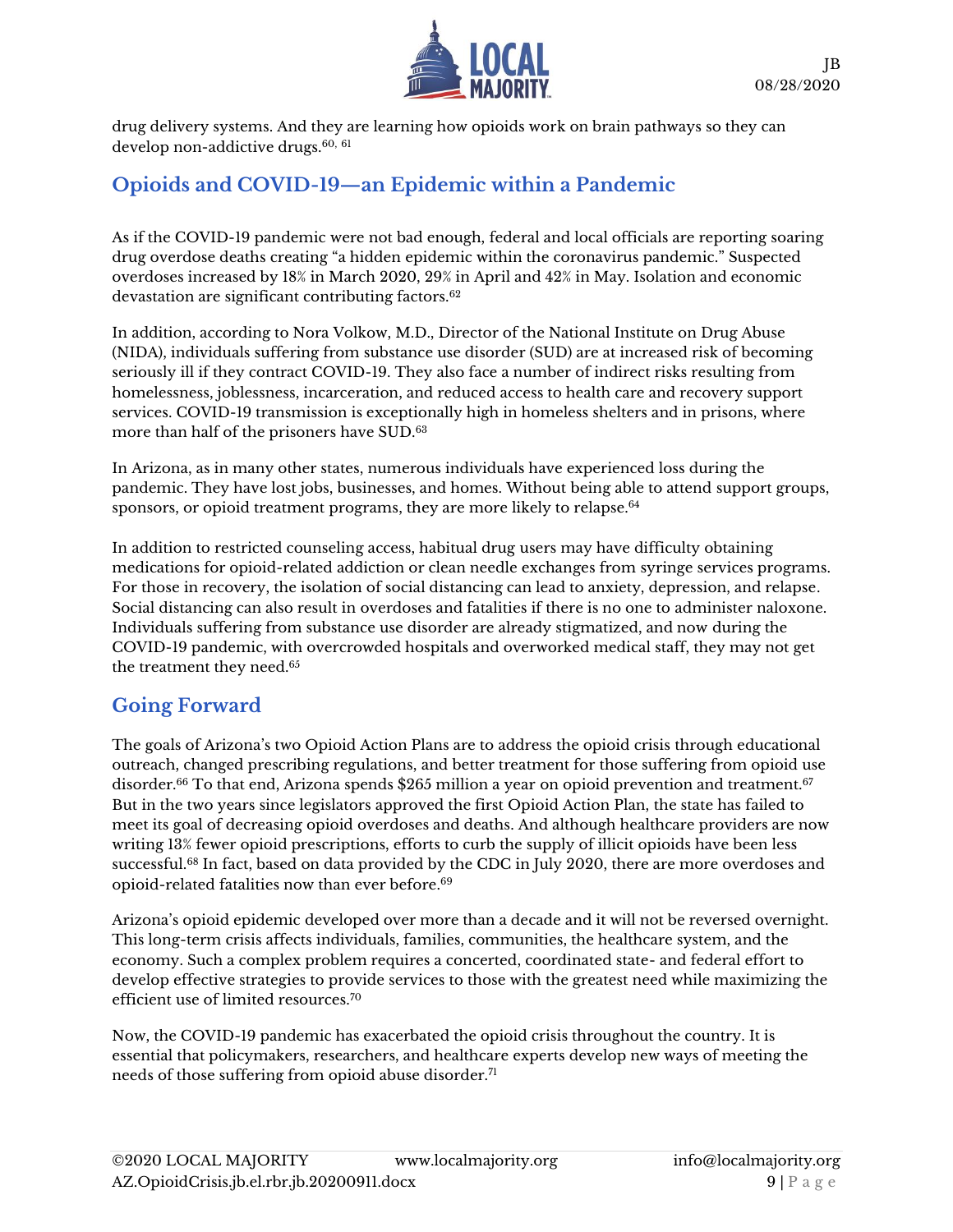

drug delivery systems. And they are learning how opioids work on brain pathways so they can develop non-addictive drugs.<sup>60, 61</sup>

### **Opioids and COVID-19—an Epidemic within a Pandemic**

As if the COVID-19 pandemic were not bad enough, federal and local officials are reporting soaring drug overdose deaths creating "a hidden epidemic within the coronavirus pandemic." Suspected overdoses increased by 18% in March 2020, 29% in April and 42% in May. Isolation and economic devastation are significant contributing factors.<sup>62</sup>

In addition, according to Nora Volkow, M.D., Director of the National Institute on Drug Abuse (NIDA), individuals suffering from substance use disorder (SUD) are at increased risk of becoming seriously ill if they contract COVID-19. They also face a number of indirect risks resulting from homelessness, joblessness, incarceration, and reduced access to health care and recovery support services. COVID-19 transmission is exceptionally high in homeless shelters and in prisons, where more than half of the prisoners have SUD.<sup>63</sup>

In Arizona, as in many other states, numerous individuals have experienced loss during the pandemic. They have lost jobs, businesses, and homes. Without being able to attend support groups, sponsors, or opioid treatment programs, they are more likely to relapse.<sup>64</sup>

In addition to restricted counseling access, habitual drug users may have difficulty obtaining medications for opioid-related addiction or clean needle exchanges from syringe services programs. For those in recovery, the isolation of social distancing can lead to anxiety, depression, and relapse. Social distancing can also result in overdoses and fatalities if there is no one to administer naloxone. Individuals suffering from substance use disorder are already stigmatized, and now during the COVID-19 pandemic, with overcrowded hospitals and overworked medical staff, they may not get the treatment they need.<sup>65</sup>

### **Going Forward**

The goals of Arizona's two Opioid Action Plans are to address the opioid crisis through educational outreach, changed prescribing regulations, and better treatment for those suffering from opioid use disorder.<sup>66</sup> To that end, Arizona spends \$265 million a year on opioid prevention and treatment.<sup>67</sup> But in the two years since legislators approved the first Opioid Action Plan, the state has failed to meet its goal of decreasing opioid overdoses and deaths. And although healthcare providers are now writing 13% fewer opioid prescriptions, efforts to curb the supply of illicit opioids have been less successful.<sup>68</sup> In fact, based on data provided by the CDC in July 2020, there are more overdoses and opioid-related fatalities now than ever before.<sup>69</sup>

Arizona's opioid epidemic developed over more than a decade and it will not be reversed overnight. This long-term crisis affects individuals, families, communities, the healthcare system, and the economy. Such a complex problem requires a concerted, coordinated state- and federal effort to develop effective strategies to provide services to those with the greatest need while maximizing the efficient use of limited resources.<sup>70</sup>

Now, the COVID-19 pandemic has exacerbated the opioid crisis throughout the country. It is essential that policymakers, researchers, and healthcare experts develop new ways of meeting the needs of those suffering from opioid abuse disorder.<sup>71</sup>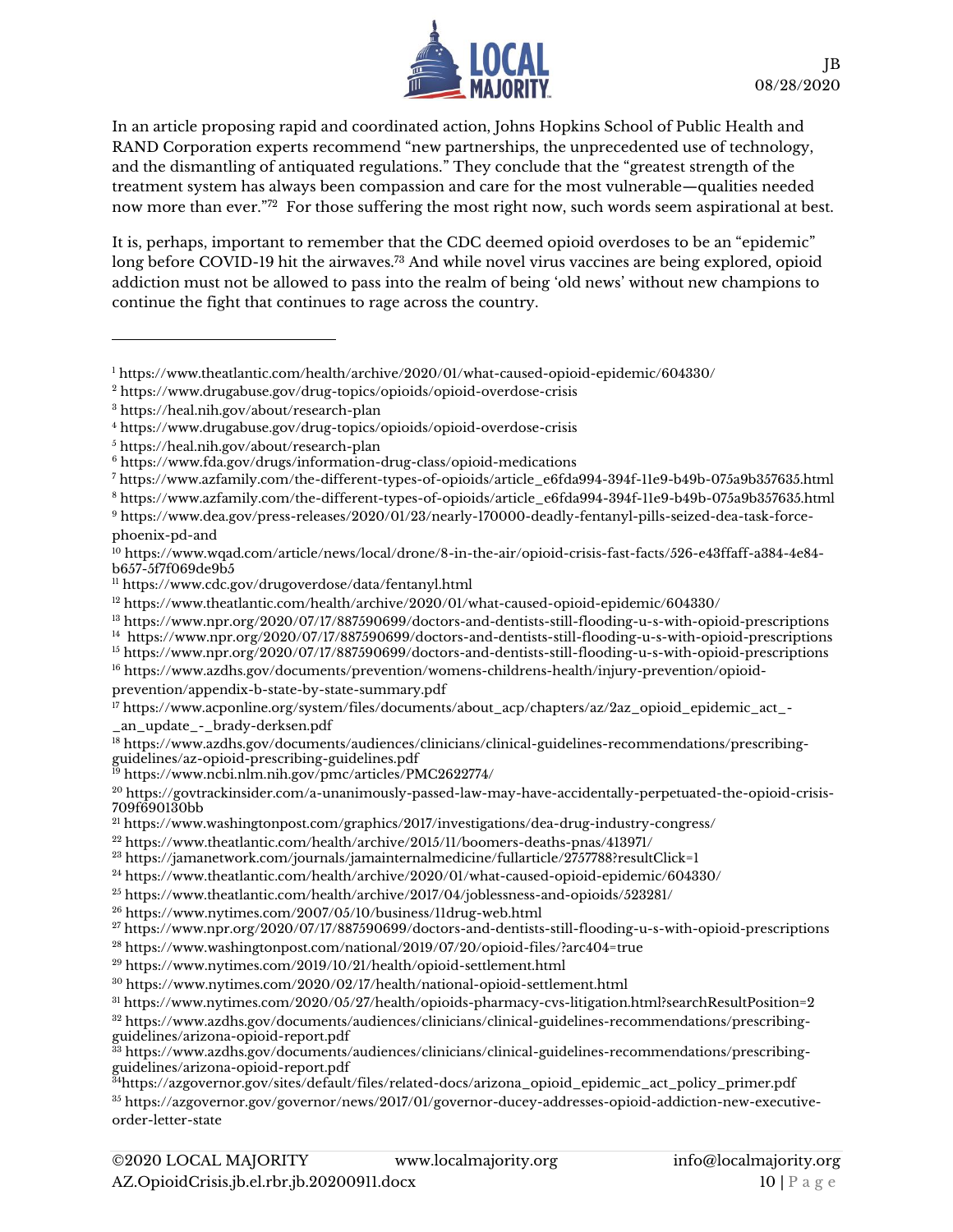

In an article proposing rapid and coordinated action, Johns Hopkins School of Public Health and RAND Corporation experts recommend "new partnerships, the unprecedented use of technology, and the dismantling of antiquated regulations." They conclude that the "greatest strength of the treatment system has always been compassion and care for the most vulnerable—qualities needed now more than ever."<sup>72</sup> For those suffering the most right now, such words seem aspirational at best.

It is, perhaps, important to remember that the CDC deemed opioid overdoses to be an "epidemic" long before COVID-19 hit the airwaves.<sup>73</sup> And while novel virus vaccines are being explored, opioid addiction must not be allowed to pass into the realm of being 'old news' without new champions to continue the fight that continues to rage across the country.

- <sup>7</sup> [https://www.azfamily.com/the-different-types-of-opioids/article\\_e6fda994-394f-11e9-b49b-075a9b357635.html](https://www.azfamily.com/the-different-types-of-opioids/article_e6fda994-394f-11e9-b49b-075a9b357635.html)
- <sup>8</sup> [https://www.azfamily.com/the-different-types-of-opioids/article\\_e6fda994-394f-11e9-b49b-075a9b357635.html](https://www.azfamily.com/the-different-types-of-opioids/article_e6fda994-394f-11e9-b49b-075a9b357635.html)
- <sup>9</sup> [https://www.dea.gov/press-releases/2020/01/23/nearly-170000-deadly-fentanyl-pills-seized-dea-task-force](https://www.dea.gov/press-releases/2020/01/23/nearly-170000-deadly-fentanyl-pills-seized-dea-task-force-phoenix-pd-and)[phoenix-pd-and](https://www.dea.gov/press-releases/2020/01/23/nearly-170000-deadly-fentanyl-pills-seized-dea-task-force-phoenix-pd-and)

<sup>11</sup> <https://www.cdc.gov/drugoverdose/data/fentanyl.html>

[prevention/appendix-b-state-by-state-summary.pdf](https://www.azdhs.gov/documents/prevention/womens-childrens-health/injury-prevention/opioid-prevention/appendix-b-state-by-state-summary.pdf)

```
17 https://www.acponline.org/system/files/documents/about_acp/chapters/az/2az_opioid_epidemic_act_-
_an_update_-_brady-derksen.pdf
```
- <sup>18</sup> [https://www.azdhs.gov/documents/audiences/clinicians/clinical-guidelines-recommendations/prescribing](https://www.azdhs.gov/documents/audiences/clinicians/clinical-guidelines-recommendations/prescribing-guidelines/az-opioid-prescribing-guidelines.pdf)[guidelines/az-opioid-prescribing-guidelines.pdf](https://www.azdhs.gov/documents/audiences/clinicians/clinical-guidelines-recommendations/prescribing-guidelines/az-opioid-prescribing-guidelines.pdf)
- <sup>19</sup> <https://www.ncbi.nlm.nih.gov/pmc/articles/PMC2622774/>

<sup>21</sup> <https://www.washingtonpost.com/graphics/2017/investigations/dea-drug-industry-congress/>

<sup>30</sup> <https://www.nytimes.com/2020/02/17/health/national-opioid-settlement.html>

<sup>32</sup> [https://www.azdhs.gov/documents/audiences/clinicians/clinical-guidelines-recommendations/prescribing](https://www.azdhs.gov/documents/audiences/clinicians/clinical-guidelines-recommendations/prescribing-guidelines/arizona-opioid-report.pdf)[guidelines/arizona-opioid-report.pdf](https://www.azdhs.gov/documents/audiences/clinicians/clinical-guidelines-recommendations/prescribing-guidelines/arizona-opioid-report.pdf)

<sup>35</sup> [https://azgovernor.gov/governor/news/2017/01/governor-ducey-addresses-opioid-addiction-new-executive](https://azgovernor.gov/governor/news/2017/01/governor-ducey-addresses-opioid-addiction-new-executive-order-letter-state)[order-letter-state](https://azgovernor.gov/governor/news/2017/01/governor-ducey-addresses-opioid-addiction-new-executive-order-letter-state)

<sup>1</sup> <https://www.theatlantic.com/health/archive/2020/01/what-caused-opioid-epidemic/604330/>

<sup>2</sup> <https://www.drugabuse.gov/drug-topics/opioids/opioid-overdose-crisis>

<sup>3</sup> <https://heal.nih.gov/about/research-plan>

<sup>4</sup> <https://www.drugabuse.gov/drug-topics/opioids/opioid-overdose-crisis>

<sup>5</sup> <https://heal.nih.gov/about/research-plan>

<sup>6</sup> <https://www.fda.gov/drugs/information-drug-class/opioid-medications>

<sup>10</sup> [https://www.wqad.com/article/news/local/drone/8-in-the-air/opioid-crisis-fast-facts/526-e43ffaff-a384-4e84](https://www.wqad.com/article/news/local/drone/8-in-the-air/opioid-crisis-fast-facts/526-e43ffaff-a384-4e84-b657-5f7f069de9b5) [b657-5f7f069de9b5](https://www.wqad.com/article/news/local/drone/8-in-the-air/opioid-crisis-fast-facts/526-e43ffaff-a384-4e84-b657-5f7f069de9b5)

<sup>12</sup> <https://www.theatlantic.com/health/archive/2020/01/what-caused-opioid-epidemic/604330/>

<sup>13</sup> <https://www.npr.org/2020/07/17/887590699/doctors-and-dentists-still-flooding-u-s-with-opioid-prescriptions>

<sup>14</sup> <https://www.npr.org/2020/07/17/887590699/doctors-and-dentists-still-flooding-u-s-with-opioid-prescriptions>

<sup>15</sup> <https://www.npr.org/2020/07/17/887590699/doctors-and-dentists-still-flooding-u-s-with-opioid-prescriptions> <sup>16</sup> [https://www.azdhs.gov/documents/prevention/womens-childrens-health/injury-prevention/opioid-](https://www.azdhs.gov/documents/prevention/womens-childrens-health/injury-prevention/opioid-prevention/appendix-b-state-by-state-summary.pdf)

<sup>20</sup> [https://govtrackinsider.com/a-unanimously-passed-law-may-have-accidentally-perpetuated-the-opioid-crisis-](https://govtrackinsider.com/a-unanimously-passed-law-may-have-accidentally-perpetuated-the-opioid-crisis-709f690130bb)[709f690130bb](https://govtrackinsider.com/a-unanimously-passed-law-may-have-accidentally-perpetuated-the-opioid-crisis-709f690130bb)

<sup>22</sup> <https://www.theatlantic.com/health/archive/2015/11/boomers-deaths-pnas/413971/>

 $^{23}$  <https://jamanetwork.com/journals/jamainternalmedicine/fullarticle/2757788?resultClick=1>

<sup>24</sup> <https://www.theatlantic.com/health/archive/2020/01/what-caused-opioid-epidemic/604330/>

<sup>25</sup> <https://www.theatlantic.com/health/archive/2017/04/joblessness-and-opioids/523281/>

<sup>26</sup> <https://www.nytimes.com/2007/05/10/business/11drug-web.html>

<sup>27</sup> <https://www.npr.org/2020/07/17/887590699/doctors-and-dentists-still-flooding-u-s-with-opioid-prescriptions>

<sup>28</sup> <https://www.washingtonpost.com/national/2019/07/20/opioid-files/?arc404=true>

<sup>29</sup> <https://www.nytimes.com/2019/10/21/health/opioid-settlement.html>

<sup>31</sup> <https://www.nytimes.com/2020/05/27/health/opioids-pharmacy-cvs-litigation.html?searchResultPosition=2>

<sup>33</sup> [https://www.azdhs.gov/documents/audiences/clinicians/clinical-guidelines-recommendations/prescribing](https://www.azdhs.gov/documents/audiences/clinicians/clinical-guidelines-recommendations/prescribing-guidelines/arizona-opioid-report.pdf)[guidelines/arizona-opioid-report.pdf](https://www.azdhs.gov/documents/audiences/clinicians/clinical-guidelines-recommendations/prescribing-guidelines/arizona-opioid-report.pdf)

<sup>34</sup>[https://azgovernor.gov/sites/default/files/related-docs/arizona\\_opioid\\_epidemic\\_act\\_policy\\_primer.pdf](https://azgovernor.gov/sites/default/files/related-docs/arizona_opioid_epidemic_act_policy_primer.pdf)